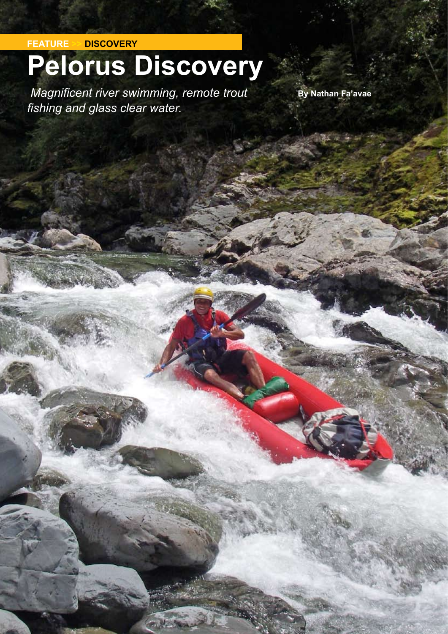**FEATURE >> DISCOVERY**

## **Pelorus Discovery**

**1 8 ISSUE SIXTY Four • Autumn 2012 www.kayaknz.co.nz**

*Magnificent river swimming, remote trout* **By Nathan Fa'avae** *fishing and glass clear water.*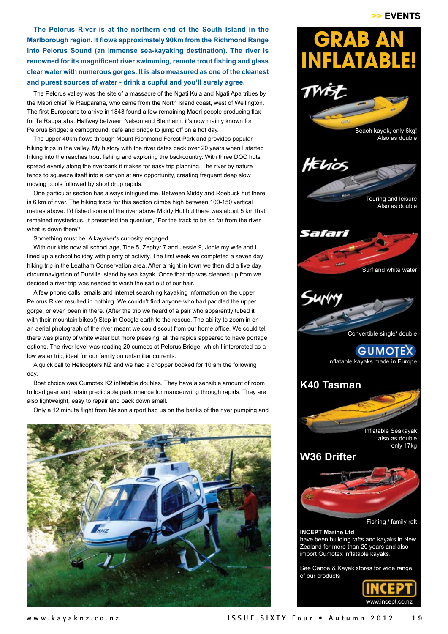## >> EVENTS

**The Pelorus River is at the northern end of the South Island in the Marlborough region. It flows approximately 90km from the Richmond Range into Pelorus Sound (an immense sea-kayaking destination). The river is renowned for its magnificent river swimming, remote trout fishing and glass clear water with numerous gorges. It is also measured as one of the cleanest and purest sources of water - drink a cupful and you'll surely agree.** 

The Pelorus valley was the site of a massacre of the Ngati Kuia and Ngati Apa tribes by the Maori chief Te Rauparaha, who came from the North Island coast, west of Wellington. The first Europeans to arrive in 1843 found a few remaining Maori people producing flax for Te Rauparaha. Halfway between Nelson and Blenheim, it's now mainly known for Pelorus Bridge: a campground, café and bridge to jump off on a hot day.

The upper 40km flows through Mount Richmond Forest Park and provides popular hiking trips in the valley. My history with the river dates back over 20 years when I started hiking into the reaches trout fishing and exploring the backcountry. With three DOC huts spread evenly along the riverbank it makes for easy trip planning. The river by nature tends to squeeze itself into a canyon at any opportunity, creating frequent deep slow moving pools followed by short drop rapids.

One particular section has always intrigued me. Between Middy and Roebuck hut there is 6 km of river. The hiking track for this section climbs high between 100-150 vertical metres above. I'd fished some of the river above Middy Hut but there was about 5 km that remained mysterious. It presented the question, "For the track to be so far from the river, what is down there?"

Something must be. A kayaker's curiosity engaged.

With our kids now all school age, Tide 5, Zephyr 7 and Jessie 9, Jodie my wife and I lined up a school holiday with plenty of activity. The first week we completed a seven day hiking trip in the Leatham Conservation area. After a night in town we then did a five day circumnavigation of Durville Island by sea kayak. Once that trip was cleaned up from we decided a river trip was needed to wash the salt out of our hair.

A few phone calls, emails and internet searching kayaking information on the upper Pelorus River resulted in nothing. We couldn't find anyone who had paddled the upper gorge, or even been in there. (After the trip we heard of a pair who apparently tubed it with their mountain bikes!) Step in Google earth to the rescue. The ability to zoom in on an aerial photograph of the river meant we could scout from our home office. We could tell there was plenty of white water but more pleasing, all the rapids appeared to have portage options. The river level was reading 20 cumecs at Pelorus Bridge, which I interpreted as a low water trip, ideal for our family on unfamiliar currents.

A quick call to Helicopters NZ and we had a chopper booked for 10 am the following day.

Boat choice was Gumotex K2 inflatable doubles. They have a sensible amount of room to load gear and retain predictable performance for manoeuvring through rapids. They are also lightweight, easy to repair and pack down small.

Only a 12 minute flight from Nelson airport had us on the banks of the river pumping and





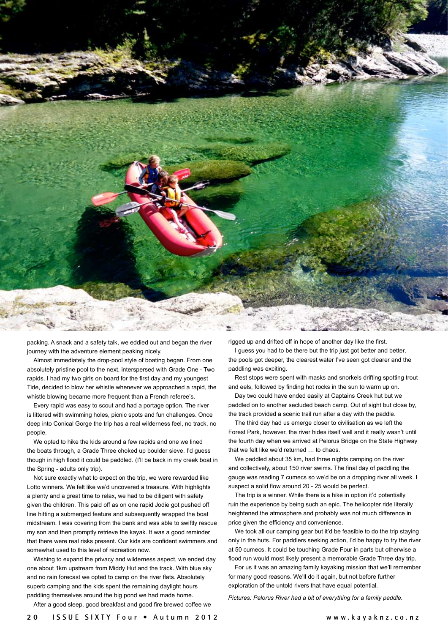

packing. A snack and a safety talk, we eddied out and began the river journey with the adventure element peaking nicely.

Almost immediately the drop-pool style of boating began. From one absolutely pristine pool to the next, interspersed with Grade One - Two rapids. I had my two girls on board for the first day and my youngest Tide, decided to blow her whistle whenever we approached a rapid, the whistle blowing became more frequent than a French referee's.

Every rapid was easy to scout and had a portage option. The river is littered with swimming holes, picnic spots and fun challenges. Once deep into Conical Gorge the trip has a real wilderness feel, no track, no people.

We opted to hike the kids around a few rapids and one we lined the boats through, a Grade Three choked up boulder sieve. I'd guess though in high flood it could be paddled. (I'll be back in my creek boat in the Spring - adults only trip).

Not sure exactly what to expect on the trip, we were rewarded like Lotto winners. We felt like we'd uncovered a treasure. With highlights a plenty and a great time to relax, we had to be diligent with safety given the children. This paid off as on one rapid Jodie got pushed off line hitting a submerged feature and subsequently wrapped the boat midstream. I was covering from the bank and was able to swiftly rescue my son and then promptly retrieve the kayak. It was a good reminder that there were real risks present. Our kids are confident swimmers and somewhat used to this level of recreation now.

Wishing to expand the privacy and wilderness aspect, we ended day one about 1km upstream from Middy Hut and the track. With blue sky and no rain forecast we opted to camp on the river flats. Absolutely superb camping and the kids spent the remaining daylight hours paddling themselves around the big pond we had made home.

After a good sleep, good breakfast and good fire brewed coffee we

rigged up and drifted off in hope of another day like the first.

I guess you had to be there but the trip just got better and better, the pools got deeper, the clearest water I've seen got clearer and the paddling was exciting.

Rest stops were spent with masks and snorkels drifting spotting trout and eels, followed by finding hot rocks in the sun to warm up on.

Day two could have ended easily at Captains Creek hut but we paddled on to another secluded beach camp. Out of sight but close by, the track provided a scenic trail run after a day with the paddle.

The third day had us emerge closer to civilisation as we left the Forest Park, however, the river hides itself well and it really wasn't until the fourth day when we arrived at Pelorus Bridge on the State Highway that we felt like we'd returned … to chaos.

We paddled about 35 km, had three nights camping on the river and collectively, about 150 river swims. The final day of paddling the gauge was reading 7 cumecs so we'd be on a dropping river all week. I suspect a solid flow around 20 - 25 would be perfect.

The trip is a winner. While there is a hike in option it'd potentially ruin the experience by being such an epic. The helicopter ride literally heightened the atmosphere and probably was not much difference in price given the efficiency and convenience.

We took all our camping gear but it'd be feasible to do the trip staying only in the huts. For paddlers seeking action, I'd be happy to try the river at 50 cumecs. It could be touching Grade Four in parts but otherwise a flood run would most likely present a memorable Grade Three day trip.

For us it was an amazing family kayaking mission that we'll remember for many good reasons. We'll do it again, but not before further exploration of the untold rivers that have equal potential.

*Pictures: Pelorus River had a bit of everything for a family paddle.*